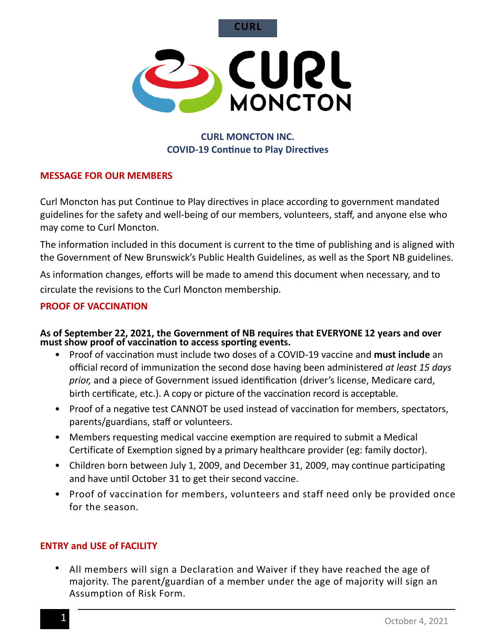**CURL** 



# **CURL MONCTON INC. COVID-19 Continue to Play Directives**

### **MESSAGE FOR OUR MEMBERS**

Curl Moncton has put Continue to Play directives in place according to government mandated guidelines for the safety and well-being of our members, volunteers, staff, and anyone else who may come to Curl Moncton.

The information included in this document is current to the time of publishing and is aligned with the Government of New Brunswick's Public Health Guidelines, as well as the Sport NB guidelines.

As information changes, efforts will be made to amend this document when necessary, and to circulate the revisions to the Curl Moncton membership. 

### **PROOF OF VACCINATION**

#### **As of September 22, 2021, the Government of NB requires that EVERYONE 12 years and over must show proof of vaccination to access sportng events.**

- Proof of vaccination must include two doses of a COVID-19 vaccine and **must include** an official record of immunizaton the second dose having been administered *at least 15 days prior,* and a piece of Government issued identifcation (driver's license, Medicare card, birth certificate, etc.). A copy or picture of the vaccination record is acceptable.
- Proof of a negative test CANNOT be used instead of vaccination for members, spectators, parents/guardians, staff or volunteers.
- Members requesting medical vaccine exemption are required to submit a Medical Certificate of Exemption signed by a primary healthcare provider (eg: family doctor).
- Children born between July 1, 2009, and December 31, 2009, may continue participating and have until October 31 to get their second vaccine.
- Proof of vaccination for members, volunteers and staff need only be provided once for the season.

### **ENTRY and USE of FACILITY**

• All members will sign a Declaration and Waiver if they have reached the age of majority. The parent/guardian of a member under the age of majority will sign an Assumption of Risk Form.